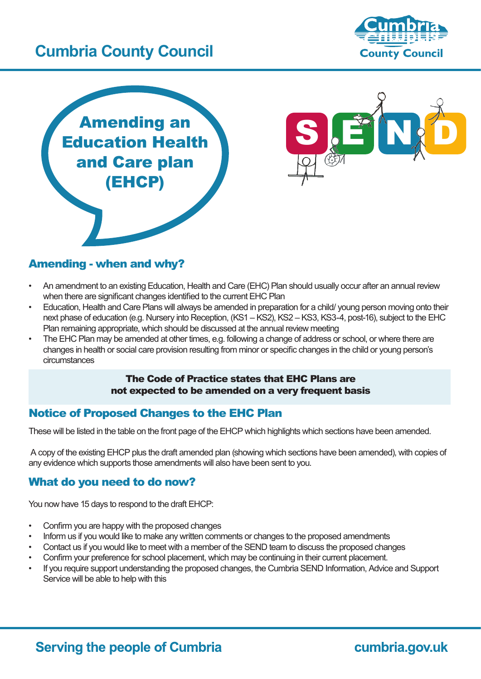# **Cumbria County Council**







### Amending - when and why?

- An amendment to an existing Education, Health and Care (EHC) Plan should usually occur after an annual review when there are significant changes identified to the current EHC Plan
- Education, Health and Care Plans will always be amended in preparation for a child/ young person moving onto their next phase of education (e.g. Nursery into Reception, (KS1 – KS2), KS2 – KS3, KS3-4, post-16), subject to the EHC Plan remaining appropriate, which should be discussed at the annual review meeting
- The EHC Plan may be amended at other times, e.g. following a change of address or school, or where there are changes in health or social care provision resulting from minor or specific changes in the child or young person's circumstances

#### The Code of Practice states that EHC Plans are not expected to be amended on a very frequent basis

### Notice of Proposed Changes to the EHC Plan

These will be listed in the table on the front page of the EHCP which highlights which sections have been amended.

 A copy of the existing EHCP plus the draft amended plan (showing which sections have been amended), with copies of any evidence which supports those amendments will also have been sent to you.

### What do you need to do now?

You now have 15 days to respond to the draft EHCP:

- Confirm you are happy with the proposed changes
- Inform us if you would like to make any written comments or changes to the proposed amendments
- Contact us if you would like to meet with a member of the SEND team to discuss the proposed changes
- Confirm your preference for school placement, which may be continuing in their current placement.
- If you require support understanding the proposed changes, the Cumbria SEND Information, Advice and Support Service will be able to help with this

## **Serving the people of Cumbria**

cumbria.gov.uk